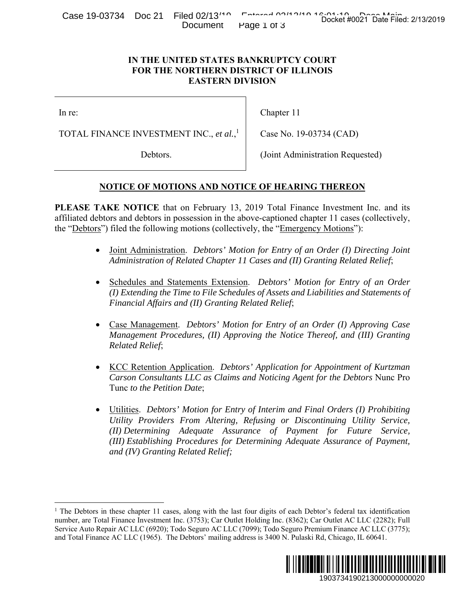Case 19-03734 Doc 21 Filed 02/13<sup>14</sup> Entered 02/13<sup>14</sup> Docket #0021 Date Filed: 2/13/2019 Document Page 1 of 3

## **IN THE UNITED STATES BANKRUPTCY COURT FOR THE NORTHERN DISTRICT OF ILLINOIS EASTERN DIVISION**

In re:

1

TOTAL FINANCE INVESTMENT INC., *et al.*, 1

Debtors.

Chapter 11

Case No. 19-03734 (CAD)

(Joint Administration Requested)

# **NOTICE OF MOTIONS AND NOTICE OF HEARING THEREON**

**PLEASE TAKE NOTICE** that on February 13, 2019 Total Finance Investment Inc. and its affiliated debtors and debtors in possession in the above-captioned chapter 11 cases (collectively, the "Debtors") filed the following motions (collectively, the "Emergency Motions"):

- Joint Administration. *Debtors' Motion for Entry of an Order (I) Directing Joint Administration of Related Chapter 11 Cases and (II) Granting Related Relief*;
- Schedules and Statements Extension. *Debtors' Motion for Entry of an Order (I) Extending the Time to File Schedules of Assets and Liabilities and Statements of Financial Affairs and (II) Granting Related Relief*;
- Case Management. *Debtors' Motion for Entry of an Order (I) Approving Case Management Procedures, (II) Approving the Notice Thereof, and (III) Granting Related Relief*;
- KCC Retention Application. *Debtors' Application for Appointment of Kurtzman Carson Consultants LLC as Claims and Noticing Agent for the Debtors* Nunc Pro Tunc *to the Petition Date*;
- Utilities. *Debtors' Motion for Entry of Interim and Final Orders (I) Prohibiting Utility Providers From Altering, Refusing or Discontinuing Utility Service, (II) Determining Adequate Assurance of Payment for Future Service, (III) Establishing Procedures for Determining Adequate Assurance of Payment, and (IV) Granting Related Relief;* Docket #0021 Date Filed: 2/13/2019<br>
URT<br>
URT<br>
URT<br>
URT<br>
DIS<br>
THEREON<br>
Investment Inc. and its<br>
er 11 cases (collectively,<br>
<u>Motions</u>"):<br>
Drder (1) Directing Joint<br>
Drder (1) Directing Joint<br>
tring Related Relief;<br>
for Entr

<sup>&</sup>lt;sup>1</sup> The Debtors in these chapter 11 cases, along with the last four digits of each Debtor's federal tax identification number, are Total Finance Investment Inc. (3753); Car Outlet Holding Inc. (8362); Car Outlet AC LLC (2282); Full Service Auto Repair AC LLC (6920); Todo Seguro AC LLC (7099); Todo Seguro Premium Finance AC LLC (3775); and Total Finance AC LLC (1965). The Debtors' mailing address is 3400 N. Pulaski Rd, Chicago, IL 60641.

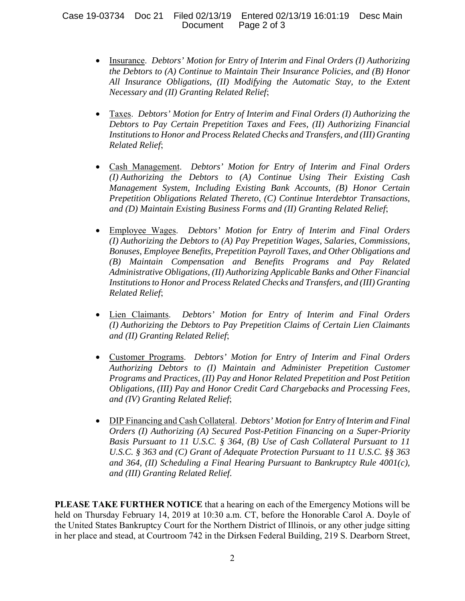### Case 19-03734 Doc 21 Filed 02/13/19 Entered 02/13/19 16:01:19 Desc Main Page 2 of 3

- Insurance. *Debtors' Motion for Entry of Interim and Final Orders (I) Authorizing the Debtors to (A) Continue to Maintain Their Insurance Policies, and (B) Honor All Insurance Obligations, (II) Modifying the Automatic Stay, to the Extent Necessary and (II) Granting Related Relief*;
- Taxes. *Debtors' Motion for Entry of Interim and Final Orders (I) Authorizing the Debtors to Pay Certain Prepetition Taxes and Fees, (II) Authorizing Financial Institutions to Honor and Process Related Checks and Transfers, and (III) Granting Related Relief*;
- Cash Management. *Debtors' Motion for Entry of Interim and Final Orders (I) Authorizing the Debtors to (A) Continue Using Their Existing Cash Management System, Including Existing Bank Accounts, (B) Honor Certain Prepetition Obligations Related Thereto, (C) Continue Interdebtor Transactions, and (D) Maintain Existing Business Forms and (II) Granting Related Relief*;
- Employee Wages. *Debtors' Motion for Entry of Interim and Final Orders (I) Authorizing the Debtors to (A) Pay Prepetition Wages, Salaries, Commissions, Bonuses, Employee Benefits, Prepetition Payroll Taxes, and Other Obligations and (B) Maintain Compensation and Benefits Programs and Pay Related Administrative Obligations, (II) Authorizing Applicable Banks and Other Financial Institutions to Honor and Process Related Checks and Transfers, and (III) Granting Related Relief*;
- Lien Claimants. *Debtors' Motion for Entry of Interim and Final Orders (I) Authorizing the Debtors to Pay Prepetition Claims of Certain Lien Claimants and (II) Granting Related Relief*;
- Customer Programs. *Debtors' Motion for Entry of Interim and Final Orders Authorizing Debtors to (I) Maintain and Administer Prepetition Customer Programs and Practices, (II) Pay and Honor Related Prepetition and Post Petition Obligations, (III) Pay and Honor Credit Card Chargebacks and Processing Fees, and (IV) Granting Related Relief*;
- DIP Financing and Cash Collateral. *Debtors' Motion for Entry of Interim and Final Orders (I) Authorizing (A) Secured Post-Petition Financing on a Super-Priority Basis Pursuant to 11 U.S.C. § 364, (B) Use of Cash Collateral Pursuant to 11 U.S.C. § 363 and (C) Grant of Adequate Protection Pursuant to 11 U.S.C. §§ 363 and 364, (II) Scheduling a Final Hearing Pursuant to Bankruptcy Rule 4001(c), and (III) Granting Related Relief.*

**PLEASE TAKE FURTHER NOTICE** that a hearing on each of the Emergency Motions will be held on Thursday February 14, 2019 at 10:30 a.m. CT, before the Honorable Carol A. Doyle of the United States Bankruptcy Court for the Northern District of Illinois, or any other judge sitting in her place and stead, at Courtroom 742 in the Dirksen Federal Building, 219 S. Dearborn Street,